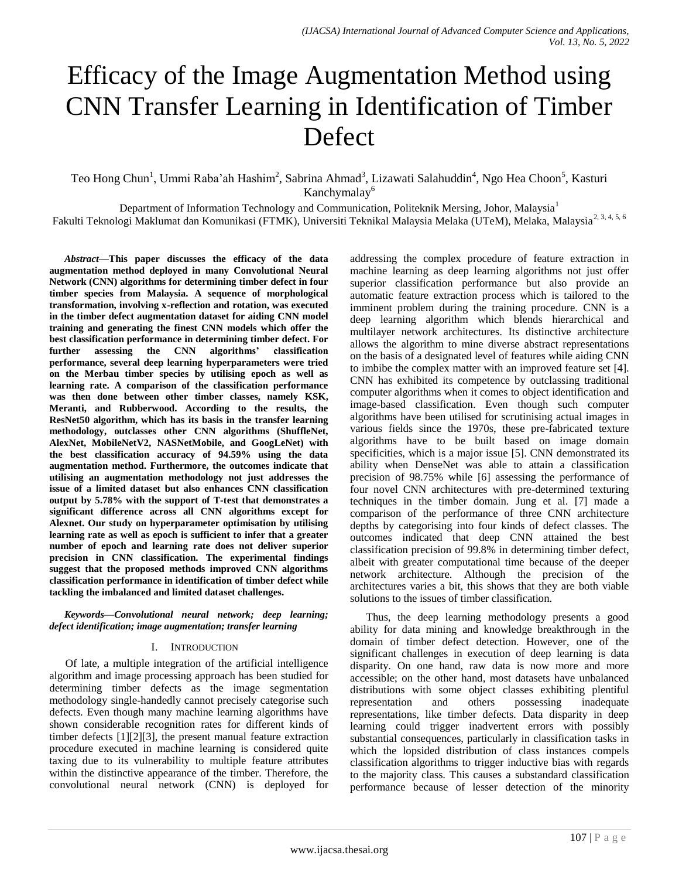# Efficacy of the Image Augmentation Method using CNN Transfer Learning in Identification of Timber Defect

Teo Hong Chun<sup>1</sup>, Ummi Raba'ah Hashim<sup>2</sup>, Sabrina Ahmad<sup>3</sup>, Lizawati Salahuddin<sup>4</sup>, Ngo Hea Choon<sup>5</sup>, Kasturi Kanchymalay<sup>6</sup>

Department of Information Technology and Communication, Politeknik Mersing, Johor, Malaysia<sup>1</sup> Fakulti Teknologi Maklumat dan Komunikasi (FTMK), Universiti Teknikal Malaysia Melaka (UTeM), Melaka, Malaysia<sup>2, 3, 4, 5, 6</sup>

*Abstract***—This paper discusses the efficacy of the data augmentation method deployed in many Convolutional Neural Network (CNN) algorithms for determining timber defect in four timber species from Malaysia. A sequence of morphological transformation, involving x-reflection and rotation, was executed in the timber defect augmentation dataset for aiding CNN model training and generating the finest CNN models which offer the best classification performance in determining timber defect. For further assessing the CNN algorithms' classification performance, several deep learning hyperparameters were tried on the Merbau timber species by utilising epoch as well as learning rate. A comparison of the classification performance was then done between other timber classes, namely KSK, Meranti, and Rubberwood. According to the results, the ResNet50 algorithm, which has its basis in the transfer learning methodology, outclasses other CNN algorithms (ShuffleNet, AlexNet, MobileNetV2, NASNetMobile, and GoogLeNet) with the best classification accuracy of 94.59% using the data augmentation method. Furthermore, the outcomes indicate that utilising an augmentation methodology not just addresses the issue of a limited dataset but also enhances CNN classification output by 5.78% with the support of T-test that demonstrates a significant difference across all CNN algorithms except for Alexnet. Our study on hyperparameter optimisation by utilising learning rate as well as epoch is sufficient to infer that a greater number of epoch and learning rate does not deliver superior precision in CNN classification. The experimental findings suggest that the proposed methods improved CNN algorithms classification performance in identification of timber defect while tackling the imbalanced and limited dataset challenges.**

*Keywords—Convolutional neural network; deep learning; defect identification; image augmentation; transfer learning*

#### I. INTRODUCTION

Of late, a multiple integration of the artificial intelligence algorithm and image processing approach has been studied for determining timber defects as the image segmentation methodology single-handedly cannot precisely categorise such defects. Even though many machine learning algorithms have shown considerable recognition rates for different kinds of timber defects [1][2][3], the present manual feature extraction procedure executed in machine learning is considered quite taxing due to its vulnerability to multiple feature attributes within the distinctive appearance of the timber. Therefore, the convolutional neural network (CNN) is deployed for

addressing the complex procedure of feature extraction in machine learning as deep learning algorithms not just offer superior classification performance but also provide an automatic feature extraction process which is tailored to the imminent problem during the training procedure. CNN is a deep learning algorithm which blends hierarchical and multilayer network architectures. Its distinctive architecture allows the algorithm to mine diverse abstract representations on the basis of a designated level of features while aiding CNN to imbibe the complex matter with an improved feature set [4]. CNN has exhibited its competence by outclassing traditional computer algorithms when it comes to object identification and image-based classification. Even though such computer algorithms have been utilised for scrutinising actual images in various fields since the 1970s, these pre-fabricated texture algorithms have to be built based on image domain specificities, which is a major issue [5]. CNN demonstrated its ability when DenseNet was able to attain a classification precision of 98.75% while [6] assessing the performance of four novel CNN architectures with pre-determined texturing techniques in the timber domain. Jung et al. [7] made a comparison of the performance of three CNN architecture depths by categorising into four kinds of defect classes. The outcomes indicated that deep CNN attained the best classification precision of 99.8% in determining timber defect, albeit with greater computational time because of the deeper network architecture. Although the precision of the architectures varies a bit, this shows that they are both viable solutions to the issues of timber classification.

Thus, the deep learning methodology presents a good ability for data mining and knowledge breakthrough in the domain of timber defect detection. However, one of the significant challenges in execution of deep learning is data disparity. On one hand, raw data is now more and more accessible; on the other hand, most datasets have unbalanced distributions with some object classes exhibiting plentiful representation and others possessing inadequate representations, like timber defects. Data disparity in deep learning could trigger inadvertent errors with possibly substantial consequences, particularly in classification tasks in which the lopsided distribution of class instances compels classification algorithms to trigger inductive bias with regards to the majority class. This causes a substandard classification performance because of lesser detection of the minority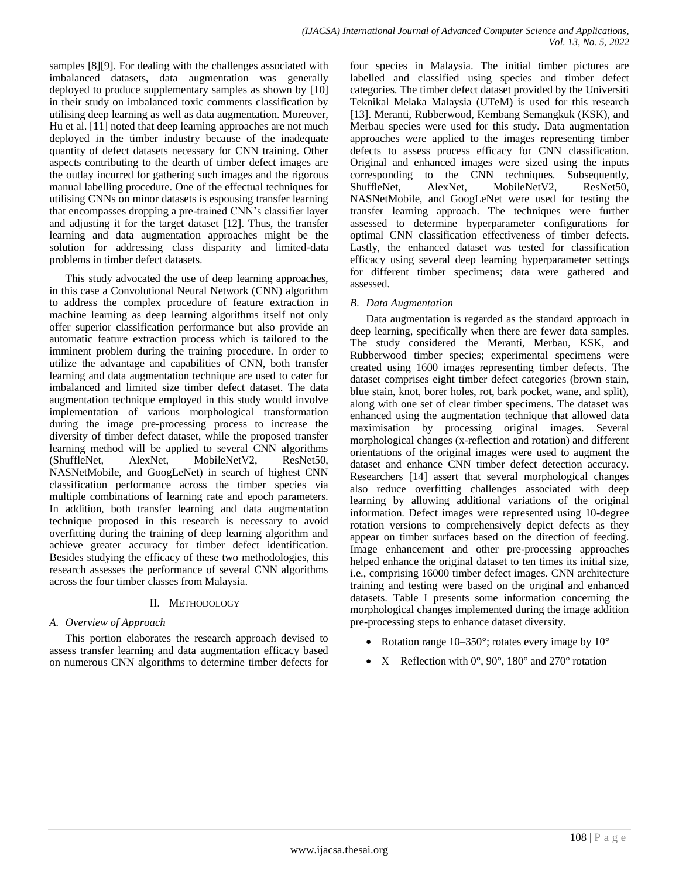samples [8][9]. For dealing with the challenges associated with imbalanced datasets, data augmentation was generally deployed to produce supplementary samples as shown by [10] in their study on imbalanced toxic comments classification by utilising deep learning as well as data augmentation. Moreover, Hu et al. [11] noted that deep learning approaches are not much deployed in the timber industry because of the inadequate quantity of defect datasets necessary for CNN training. Other aspects contributing to the dearth of timber defect images are the outlay incurred for gathering such images and the rigorous manual labelling procedure. One of the effectual techniques for utilising CNNs on minor datasets is espousing transfer learning that encompasses dropping a pre-trained CNN's classifier layer and adjusting it for the target dataset [12]. Thus, the transfer learning and data augmentation approaches might be the solution for addressing class disparity and limited-data problems in timber defect datasets.

This study advocated the use of deep learning approaches, in this case a Convolutional Neural Network (CNN) algorithm to address the complex procedure of feature extraction in machine learning as deep learning algorithms itself not only offer superior classification performance but also provide an automatic feature extraction process which is tailored to the imminent problem during the training procedure. In order to utilize the advantage and capabilities of CNN, both transfer learning and data augmentation technique are used to cater for imbalanced and limited size timber defect dataset. The data augmentation technique employed in this study would involve implementation of various morphological transformation during the image pre-processing process to increase the diversity of timber defect dataset, while the proposed transfer learning method will be applied to several CNN algorithms (ShuffleNet, AlexNet, MobileNetV2, ResNet50, NASNetMobile, and GoogLeNet) in search of highest CNN classification performance across the timber species via multiple combinations of learning rate and epoch parameters. In addition, both transfer learning and data augmentation technique proposed in this research is necessary to avoid overfitting during the training of deep learning algorithm and achieve greater accuracy for timber defect identification. Besides studying the efficacy of these two methodologies, this research assesses the performance of several CNN algorithms across the four timber classes from Malaysia.

#### II. METHODOLOGY

## *A. Overview of Approach*

This portion elaborates the research approach devised to assess transfer learning and data augmentation efficacy based on numerous CNN algorithms to determine timber defects for four species in Malaysia. The initial timber pictures are labelled and classified using species and timber defect categories. The timber defect dataset provided by the Universiti Teknikal Melaka Malaysia (UTeM) is used for this research [13]. Meranti, Rubberwood, Kembang Semangkuk (KSK), and Merbau species were used for this study. Data augmentation approaches were applied to the images representing timber defects to assess process efficacy for CNN classification. Original and enhanced images were sized using the inputs corresponding to the CNN techniques. Subsequently, ShuffleNet, AlexNet, MobileNetV2, ResNet50, NASNetMobile, and GoogLeNet were used for testing the transfer learning approach. The techniques were further assessed to determine hyperparameter configurations for optimal CNN classification effectiveness of timber defects. Lastly, the enhanced dataset was tested for classification efficacy using several deep learning hyperparameter settings for different timber specimens; data were gathered and assessed.

#### *B. Data Augmentation*

Data augmentation is regarded as the standard approach in deep learning, specifically when there are fewer data samples. The study considered the Meranti, Merbau, KSK, and Rubberwood timber species; experimental specimens were created using 1600 images representing timber defects. The dataset comprises eight timber defect categories (brown stain, blue stain, knot, borer holes, rot, bark pocket, wane, and split), along with one set of clear timber specimens. The dataset was enhanced using the augmentation technique that allowed data maximisation by processing original images. Several morphological changes (x-reflection and rotation) and different orientations of the original images were used to augment the dataset and enhance CNN timber defect detection accuracy. Researchers [14] assert that several morphological changes also reduce overfitting challenges associated with deep learning by allowing additional variations of the original information. Defect images were represented using 10-degree rotation versions to comprehensively depict defects as they appear on timber surfaces based on the direction of feeding. Image enhancement and other pre-processing approaches helped enhance the original dataset to ten times its initial size, i.e., comprising 16000 timber defect images. CNN architecture training and testing were based on the original and enhanced datasets. Table I presents some information concerning the morphological changes implemented during the image addition pre-processing steps to enhance dataset diversity.

- Rotation range  $10-350^\circ$ ; rotates every image by  $10^\circ$
- $X$  Reflection with  $0^\circ$ ,  $90^\circ$ ,  $180^\circ$  and  $270^\circ$  rotation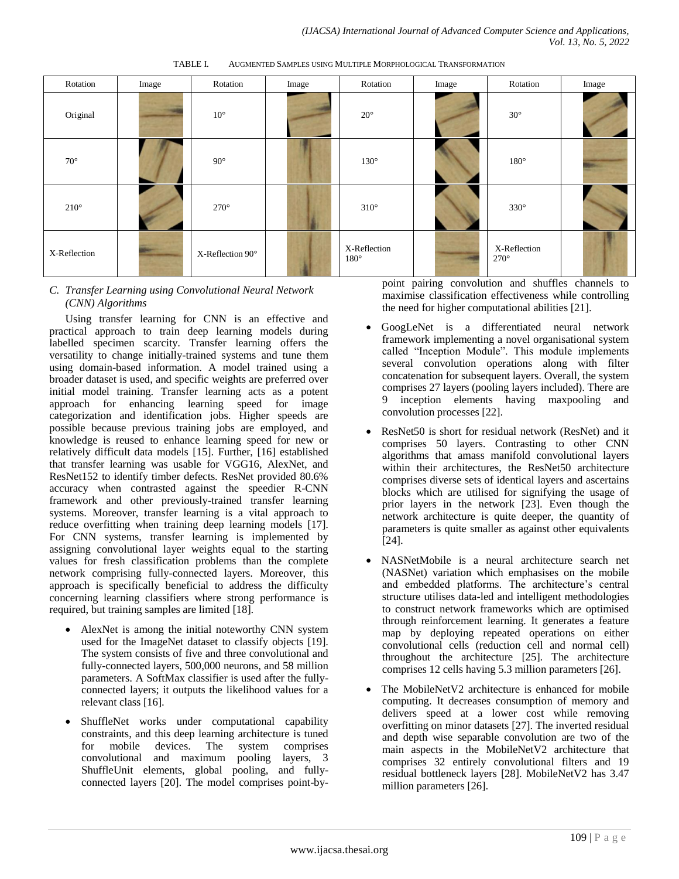Rotation | Image | Rotation | Image | Rotation | Image | Rotation | Image Original 10° 10° 20° 30°  $70^{\circ}$  130° 180° 180°  $270^{\circ}$  270<sup>°</sup> 270<sup>°</sup> 330<sup>°</sup> 330<sup>°</sup>  $X-Reflection$   $X-Reflection$   $90^\circ$   $X-Reflection$ 180° X-Reflection 270°

TABLE I. AUGMENTED SAMPLES USING MULTIPLE MORPHOLOGICAL TRANSFORMATION

#### *C. Transfer Learning using Convolutional Neural Network (CNN) Algorithms*

Using transfer learning for CNN is an effective and practical approach to train deep learning models during labelled specimen scarcity. Transfer learning offers the versatility to change initially-trained systems and tune them using domain-based information. A model trained using a broader dataset is used, and specific weights are preferred over initial model training. Transfer learning acts as a potent approach for enhancing learning speed for image categorization and identification jobs. Higher speeds are possible because previous training jobs are employed, and knowledge is reused to enhance learning speed for new or relatively difficult data models [15]. Further, [16] established that transfer learning was usable for VGG16, AlexNet, and ResNet152 to identify timber defects. ResNet provided 80.6% accuracy when contrasted against the speedier R-CNN framework and other previously-trained transfer learning systems. Moreover, transfer learning is a vital approach to reduce overfitting when training deep learning models [17]. For CNN systems, transfer learning is implemented by assigning convolutional layer weights equal to the starting values for fresh classification problems than the complete network comprising fully-connected layers. Moreover, this approach is specifically beneficial to address the difficulty concerning learning classifiers where strong performance is required, but training samples are limited [18].

- AlexNet is among the initial noteworthy CNN system used for the ImageNet dataset to classify objects [19]. The system consists of five and three convolutional and fully-connected layers, 500,000 neurons, and 58 million parameters. A SoftMax classifier is used after the fullyconnected layers; it outputs the likelihood values for a relevant class [16].
- ShuffleNet works under computational capability constraints, and this deep learning architecture is tuned for mobile devices. The system comprises convolutional and maximum pooling layers, 3 ShuffleUnit elements, global pooling, and fullyconnected layers [20]. The model comprises point-by-

point pairing convolution and shuffles channels to maximise classification effectiveness while controlling the need for higher computational abilities [21].

- GoogLeNet is a differentiated neural network framework implementing a novel organisational system called "Inception Module". This module implements several convolution operations along with filter concatenation for subsequent layers. Overall, the system comprises 27 layers (pooling layers included). There are 9 inception elements having maxpooling and convolution processes [22].
- ResNet50 is short for residual network (ResNet) and it comprises 50 layers. Contrasting to other CNN algorithms that amass manifold convolutional layers within their architectures, the ResNet50 architecture comprises diverse sets of identical layers and ascertains blocks which are utilised for signifying the usage of prior layers in the network [23]. Even though the network architecture is quite deeper, the quantity of parameters is quite smaller as against other equivalents [24].
- NASNetMobile is a neural architecture search net (NASNet) variation which emphasises on the mobile and embedded platforms. The architecture's central structure utilises data-led and intelligent methodologies to construct network frameworks which are optimised through reinforcement learning. It generates a feature map by deploying repeated operations on either convolutional cells (reduction cell and normal cell) throughout the architecture [25]. The architecture comprises 12 cells having 5.3 million parameters [26].
- The MobileNetV2 architecture is enhanced for mobile computing. It decreases consumption of memory and delivers speed at a lower cost while removing overfitting on minor datasets [27]. The inverted residual and depth wise separable convolution are two of the main aspects in the MobileNetV2 architecture that comprises 32 entirely convolutional filters and 19 residual bottleneck layers [28]. MobileNetV2 has 3.47 million parameters [26].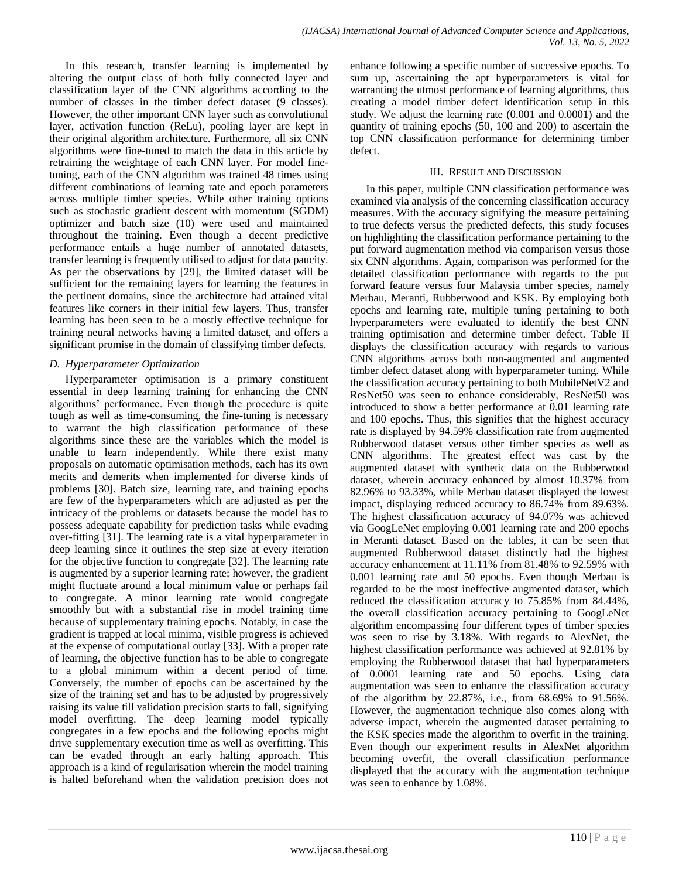In this research, transfer learning is implemented by altering the output class of both fully connected layer and classification layer of the CNN algorithms according to the number of classes in the timber defect dataset (9 classes). However, the other important CNN layer such as convolutional layer, activation function (ReLu), pooling layer are kept in their original algorithm architecture. Furthermore, all six CNN algorithms were fine-tuned to match the data in this article by retraining the weightage of each CNN layer. For model finetuning, each of the CNN algorithm was trained 48 times using different combinations of learning rate and epoch parameters across multiple timber species. While other training options such as stochastic gradient descent with momentum (SGDM) optimizer and batch size (10) were used and maintained throughout the training. Even though a decent predictive performance entails a huge number of annotated datasets, transfer learning is frequently utilised to adjust for data paucity. As per the observations by [29], the limited dataset will be sufficient for the remaining layers for learning the features in the pertinent domains, since the architecture had attained vital features like corners in their initial few layers. Thus, transfer learning has been seen to be a mostly effective technique for training neural networks having a limited dataset, and offers a significant promise in the domain of classifying timber defects.

## *D. Hyperparameter Optimization*

Hyperparameter optimisation is a primary constituent essential in deep learning training for enhancing the CNN algorithms' performance. Even though the procedure is quite tough as well as time-consuming, the fine-tuning is necessary to warrant the high classification performance of these algorithms since these are the variables which the model is unable to learn independently. While there exist many proposals on automatic optimisation methods, each has its own merits and demerits when implemented for diverse kinds of problems [30]. Batch size, learning rate, and training epochs are few of the hyperparameters which are adjusted as per the intricacy of the problems or datasets because the model has to possess adequate capability for prediction tasks while evading over-fitting [31]. The learning rate is a vital hyperparameter in deep learning since it outlines the step size at every iteration for the objective function to congregate [32]. The learning rate is augmented by a superior learning rate; however, the gradient might fluctuate around a local minimum value or perhaps fail to congregate. A minor learning rate would congregate smoothly but with a substantial rise in model training time because of supplementary training epochs. Notably, in case the gradient is trapped at local minima, visible progress is achieved at the expense of computational outlay [33]. With a proper rate of learning, the objective function has to be able to congregate to a global minimum within a decent period of time. Conversely, the number of epochs can be ascertained by the size of the training set and has to be adjusted by progressively raising its value till validation precision starts to fall, signifying model overfitting. The deep learning model typically congregates in a few epochs and the following epochs might drive supplementary execution time as well as overfitting. This can be evaded through an early halting approach. This approach is a kind of regularisation wherein the model training is halted beforehand when the validation precision does not enhance following a specific number of successive epochs. To sum up, ascertaining the apt hyperparameters is vital for warranting the utmost performance of learning algorithms, thus creating a model timber defect identification setup in this study. We adjust the learning rate (0.001 and 0.0001) and the quantity of training epochs (50, 100 and 200) to ascertain the top CNN classification performance for determining timber defect.

# III. RESULT AND DISCUSSION

In this paper, multiple CNN classification performance was examined via analysis of the concerning classification accuracy measures. With the accuracy signifying the measure pertaining to true defects versus the predicted defects, this study focuses on highlighting the classification performance pertaining to the put forward augmentation method via comparison versus those six CNN algorithms. Again, comparison was performed for the detailed classification performance with regards to the put forward feature versus four Malaysia timber species, namely Merbau, Meranti, Rubberwood and KSK. By employing both epochs and learning rate, multiple tuning pertaining to both hyperparameters were evaluated to identify the best CNN training optimisation and determine timber defect. Table II displays the classification accuracy with regards to various CNN algorithms across both non-augmented and augmented timber defect dataset along with hyperparameter tuning. While the classification accuracy pertaining to both MobileNetV2 and ResNet50 was seen to enhance considerably, ResNet50 was introduced to show a better performance at 0.01 learning rate and 100 epochs. Thus, this signifies that the highest accuracy rate is displayed by 94.59% classification rate from augmented Rubberwood dataset versus other timber species as well as CNN algorithms. The greatest effect was cast by the augmented dataset with synthetic data on the Rubberwood dataset, wherein accuracy enhanced by almost 10.37% from 82.96% to 93.33%, while Merbau dataset displayed the lowest impact, displaying reduced accuracy to 86.74% from 89.63%. The highest classification accuracy of 94.07% was achieved via GoogLeNet employing 0.001 learning rate and 200 epochs in Meranti dataset. Based on the tables, it can be seen that augmented Rubberwood dataset distinctly had the highest accuracy enhancement at 11.11% from 81.48% to 92.59% with 0.001 learning rate and 50 epochs. Even though Merbau is regarded to be the most ineffective augmented dataset, which reduced the classification accuracy to 75.85% from 84.44%, the overall classification accuracy pertaining to GoogLeNet algorithm encompassing four different types of timber species was seen to rise by 3.18%. With regards to AlexNet, the highest classification performance was achieved at 92.81% by employing the Rubberwood dataset that had hyperparameters of 0.0001 learning rate and 50 epochs. Using data augmentation was seen to enhance the classification accuracy of the algorithm by 22.87%, i.e., from 68.69% to 91.56%. However, the augmentation technique also comes along with adverse impact, wherein the augmented dataset pertaining to the KSK species made the algorithm to overfit in the training. Even though our experiment results in AlexNet algorithm becoming overfit, the overall classification performance displayed that the accuracy with the augmentation technique was seen to enhance by 1.08%.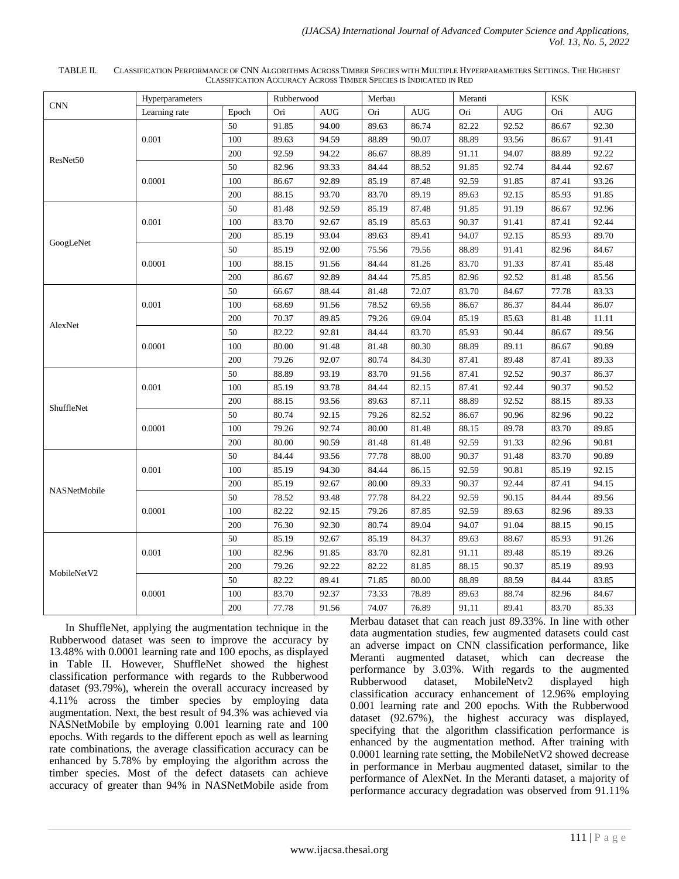| TABLE II. | CLASSIFICATION PERFORMANCE OF CNN ALGORITHMS ACROSS TIMBER SPECIES WITH MULTIPLE HYPERPARAMETERS SETTINGS. THE HIGHEST |
|-----------|------------------------------------------------------------------------------------------------------------------------|
|           | CLASSIFICATION ACCURACY ACROSS TIMBER SPECIES IS INDICATED IN RED                                                      |

|              | Hyperparameters |        | Rubberwood |            | Merbau |            | Meranti |            | <b>KSK</b> |            |
|--------------|-----------------|--------|------------|------------|--------|------------|---------|------------|------------|------------|
| <b>CNN</b>   | Learning rate   | Epoch  | Ori        | <b>AUG</b> | Ori    | <b>AUG</b> | Ori     | <b>AUG</b> | Ori        | <b>AUG</b> |
|              |                 | 50     | 91.85      | 94.00      | 89.63  | 86.74      | 82.22   | 92.52      | 86.67      | 92.30      |
|              | 0.001           | 100    | 89.63      | 94.59      | 88.89  | 90.07      | 88.89   | 93.56      | 86.67      | 91.41      |
|              |                 | 200    | 92.59      | 94.22      | 86.67  | 88.89      | 91.11   | 94.07      | 88.89      | 92.22      |
| ResNet50     | 0.0001          | 50     | 82.96      | 93.33      | 84.44  | 88.52      | 91.85   | 92.74      | 84.44      | 92.67      |
|              |                 | 100    | 86.67      | 92.89      | 85.19  | 87.48      | 92.59   | 91.85      | 87.41      | 93.26      |
|              |                 | 200    | 88.15      | 93.70      | 83.70  | 89.19      | 89.63   | 92.15      | 85.93      | 91.85      |
|              |                 | $50\,$ | 81.48      | 92.59      | 85.19  | 87.48      | 91.85   | 91.19      | 86.67      | 92.96      |
|              | 0.001           | 100    | 83.70      | 92.67      | 85.19  | 85.63      | 90.37   | 91.41      | 87.41      | 92.44      |
|              |                 | 200    | 85.19      | 93.04      | 89.63  | 89.41      | 94.07   | 92.15      | 85.93      | 89.70      |
| GoogLeNet    | 0.0001          | $50\,$ | 85.19      | 92.00      | 75.56  | 79.56      | 88.89   | 91.41      | 82.96      | 84.67      |
|              |                 | 100    | 88.15      | 91.56      | 84.44  | 81.26      | 83.70   | 91.33      | 87.41      | 85.48      |
|              |                 | 200    | 86.67      | 92.89      | 84.44  | 75.85      | 82.96   | 92.52      | 81.48      | 85.56      |
|              |                 | 50     | 66.67      | 88.44      | 81.48  | 72.07      | 83.70   | 84.67      | 77.78      | 83.33      |
|              | 0.001           | 100    | 68.69      | 91.56      | 78.52  | 69.56      | 86.67   | 86.37      | 84.44      | 86.07      |
|              |                 | 200    | 70.37      | 89.85      | 79.26  | 69.04      | 85.19   | 85.63      | 81.48      | 11.11      |
| AlexNet      | 0.0001          | 50     | 82.22      | 92.81      | 84.44  | 83.70      | 85.93   | 90.44      | 86.67      | 89.56      |
|              |                 | 100    | 80.00      | 91.48      | 81.48  | 80.30      | 88.89   | 89.11      | 86.67      | 90.89      |
|              |                 | 200    | 79.26      | 92.07      | 80.74  | 84.30      | 87.41   | 89.48      | 87.41      | 89.33      |
|              | 0.001           | 50     | 88.89      | 93.19      | 83.70  | 91.56      | 87.41   | 92.52      | 90.37      | 86.37      |
|              |                 | 100    | 85.19      | 93.78      | 84.44  | 82.15      | 87.41   | 92.44      | 90.37      | 90.52      |
| ShuffleNet   |                 | 200    | 88.15      | 93.56      | 89.63  | 87.11      | 88.89   | 92.52      | 88.15      | 89.33      |
|              | 0.0001          | 50     | 80.74      | 92.15      | 79.26  | 82.52      | 86.67   | 90.96      | 82.96      | 90.22      |
|              |                 | 100    | 79.26      | 92.74      | 80.00  | 81.48      | 88.15   | 89.78      | 83.70      | 89.85      |
|              |                 | 200    | 80.00      | 90.59      | 81.48  | 81.48      | 92.59   | 91.33      | 82.96      | 90.81      |
|              |                 | 50     | 84.44      | 93.56      | 77.78  | 88.00      | 90.37   | 91.48      | 83.70      | 90.89      |
|              | 0.001           | 100    | 85.19      | 94.30      | 84.44  | 86.15      | 92.59   | 90.81      | 85.19      | 92.15      |
| NASNetMobile |                 | 200    | 85.19      | 92.67      | 80.00  | 89.33      | 90.37   | 92.44      | 87.41      | 94.15      |
|              |                 | 50     | 78.52      | 93.48      | 77.78  | 84.22      | 92.59   | 90.15      | 84.44      | 89.56      |
|              | 0.0001          | 100    | 82.22      | 92.15      | 79.26  | 87.85      | 92.59   | 89.63      | 82.96      | 89.33      |
|              |                 | 200    | 76.30      | 92.30      | 80.74  | 89.04      | 94.07   | 91.04      | 88.15      | 90.15      |
|              | 0.001           | 50     | 85.19      | 92.67      | 85.19  | 84.37      | 89.63   | 88.67      | 85.93      | 91.26      |
|              |                 | 100    | 82.96      | 91.85      | 83.70  | 82.81      | 91.11   | 89.48      | 85.19      | 89.26      |
| MobileNetV2  |                 | 200    | 79.26      | 92.22      | 82.22  | 81.85      | 88.15   | 90.37      | 85.19      | 89.93      |
|              | 0.0001          | 50     | 82.22      | 89.41      | 71.85  | 80.00      | 88.89   | 88.59      | 84.44      | 83.85      |
|              |                 | 100    | 83.70      | 92.37      | 73.33  | 78.89      | 89.63   | 88.74      | 82.96      | 84.67      |
|              |                 | 200    | 77.78      | 91.56      | 74.07  | 76.89      | 91.11   | 89.41      | 83.70      | 85.33      |

In ShuffleNet, applying the augmentation technique in the Rubberwood dataset was seen to improve the accuracy by 13.48% with 0.0001 learning rate and 100 epochs, as displayed in Table II. However, ShuffleNet showed the highest classification performance with regards to the Rubberwood dataset (93.79%), wherein the overall accuracy increased by 4.11% across the timber species by employing data augmentation. Next, the best result of 94.3% was achieved via NASNetMobile by employing 0.001 learning rate and 100 epochs. With regards to the different epoch as well as learning rate combinations, the average classification accuracy can be enhanced by 5.78% by employing the algorithm across the timber species. Most of the defect datasets can achieve accuracy of greater than 94% in NASNetMobile aside from Merbau dataset that can reach just 89.33%. In line with other data augmentation studies, few augmented datasets could cast an adverse impact on CNN classification performance, like Meranti augmented dataset, which can decrease the performance by 3.03%. With regards to the augmented Rubberwood dataset, MobileNetv2 displayed high classification accuracy enhancement of 12.96% employing 0.001 learning rate and 200 epochs. With the Rubberwood dataset (92.67%), the highest accuracy was displayed, specifying that the algorithm classification performance is enhanced by the augmentation method. After training with 0.0001 learning rate setting, the MobileNetV2 showed decrease in performance in Merbau augmented dataset, similar to the performance of AlexNet. In the Meranti dataset, a majority of performance accuracy degradation was observed from 91.11%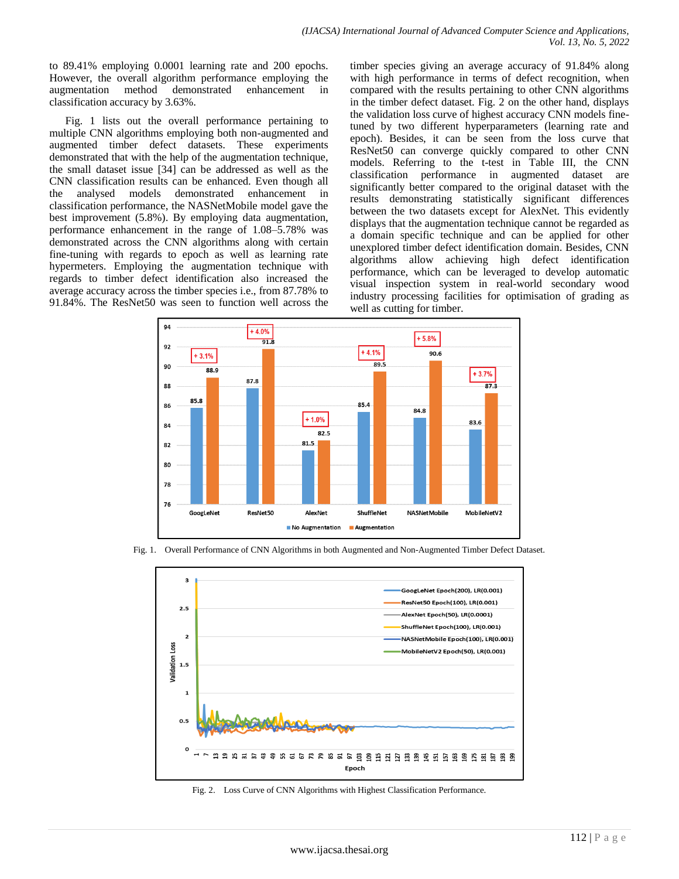to 89.41% employing 0.0001 learning rate and 200 epochs. However, the overall algorithm performance employing the augmentation method demonstrated enhancement in classification accuracy by 3.63%.

Fig. 1 lists out the overall performance pertaining to multiple CNN algorithms employing both non-augmented and augmented timber defect datasets. These experiments demonstrated that with the help of the augmentation technique, the small dataset issue [34] can be addressed as well as the CNN classification results can be enhanced. Even though all the analysed models demonstrated enhancement in classification performance, the NASNetMobile model gave the best improvement (5.8%). By employing data augmentation, performance enhancement in the range of 1.08–5.78% was demonstrated across the CNN algorithms along with certain fine-tuning with regards to epoch as well as learning rate hypermeters. Employing the augmentation technique with regards to timber defect identification also increased the average accuracy across the timber species i.e., from 87.78% to 91.84%. The ResNet50 was seen to function well across the timber species giving an average accuracy of 91.84% along with high performance in terms of defect recognition, when compared with the results pertaining to other CNN algorithms in the timber defect dataset. Fig. 2 on the other hand, displays the validation loss curve of highest accuracy CNN models finetuned by two different hyperparameters (learning rate and epoch). Besides, it can be seen from the loss curve that ResNet50 can converge quickly compared to other CNN models. Referring to the t-test in Table III, the CNN classification performance in augmented dataset are significantly better compared to the original dataset with the results demonstrating statistically significant differences between the two datasets except for AlexNet. This evidently displays that the augmentation technique cannot be regarded as a domain specific technique and can be applied for other unexplored timber defect identification domain. Besides, CNN algorithms allow achieving high defect identification performance, which can be leveraged to develop automatic visual inspection system in real-world secondary wood industry processing facilities for optimisation of grading as well as cutting for timber.



Fig. 1. Overall Performance of CNN Algorithms in both Augmented and Non-Augmented Timber Defect Dataset.



Fig. 2. Loss Curve of CNN Algorithms with Highest Classification Performance.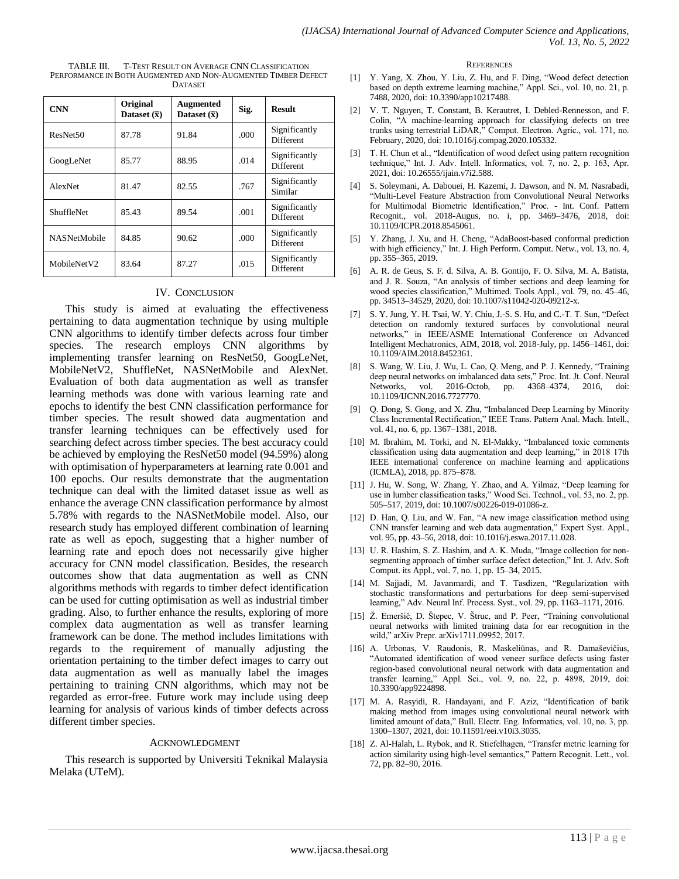| <b>CNN</b>           | Original<br>Dataset $(\bar{x})$ | <b>Augmented</b><br>Dataset $(\bar{x})$ | Sig. | <b>Result</b>                     |
|----------------------|---------------------------------|-----------------------------------------|------|-----------------------------------|
| ResNet <sub>50</sub> | 87.78                           | 91.84                                   | .000 | Significantly<br>Different        |
| GoogLeNet            | 85.77                           | 88.95                                   |      | Significantly<br><b>Different</b> |
| AlexNet              | 81.47                           | 82.55                                   | .767 | Significantly<br>Similar          |
| <b>ShuffleNet</b>    | 85.43                           | 89.54                                   | .001 | Significantly<br>Different        |
| <b>NASNetMobile</b>  | 84.85                           | 90.62                                   | .000 | Significantly<br>Different        |
| MobileNetV2          | 83.64                           | 87.27                                   | .015 | Significantly<br><b>Different</b> |

#### TABLE III. T-TEST RESULT ON AVERAGE CNN CLASSIFICATION PERFORMANCE IN BOTH AUGMENTED AND NON-AUGMENTED TIMBER DEFECT DATASET

#### IV. CONCLUSION

This study is aimed at evaluating the effectiveness pertaining to data augmentation technique by using multiple CNN algorithms to identify timber defects across four timber species. The research employs CNN algorithms by implementing transfer learning on ResNet50, GoogLeNet, MobileNetV2, ShuffleNet, NASNetMobile and AlexNet. Evaluation of both data augmentation as well as transfer learning methods was done with various learning rate and epochs to identify the best CNN classification performance for timber species. The result showed data augmentation and transfer learning techniques can be effectively used for searching defect across timber species. The best accuracy could be achieved by employing the ResNet50 model (94.59%) along with optimisation of hyperparameters at learning rate 0.001 and 100 epochs. Our results demonstrate that the augmentation technique can deal with the limited dataset issue as well as enhance the average CNN classification performance by almost 5.78% with regards to the NASNetMobile model. Also, our research study has employed different combination of learning rate as well as epoch, suggesting that a higher number of learning rate and epoch does not necessarily give higher accuracy for CNN model classification. Besides, the research outcomes show that data augmentation as well as CNN algorithms methods with regards to timber defect identification can be used for cutting optimisation as well as industrial timber grading. Also, to further enhance the results, exploring of more complex data augmentation as well as transfer learning framework can be done. The method includes limitations with regards to the requirement of manually adjusting the orientation pertaining to the timber defect images to carry out data augmentation as well as manually label the images pertaining to training CNN algorithms, which may not be regarded as error-free. Future work may include using deep learning for analysis of various kinds of timber defects across different timber species.

#### ACKNOWLEDGMENT

This research is supported by Universiti Teknikal Malaysia Melaka (UTeM).

#### **REFERENCES**

- [1] Y. Yang, X. Zhou, Y. Liu, Z. Hu, and F. Ding, "Wood defect detection based on depth extreme learning machine," Appl. Sci., vol. 10, no. 21, p. 7488, 2020, doi: 10.3390/app10217488.
- [2] V. T. Nguyen, T. Constant, B. Kerautret, I. Debled-Rennesson, and F. Colin, "A machine-learning approach for classifying defects on tree trunks using terrestrial LiDAR," Comput. Electron. Agric., vol. 171, no. February, 2020, doi: 10.1016/j.compag.2020.105332.
- [3] T. H. Chun et al., "Identification of wood defect using pattern recognition technique," Int. J. Adv. Intell. Informatics, vol. 7, no. 2, p. 163, Apr. 2021, doi: 10.26555/ijain.v7i2.588.
- [4] S. Soleymani, A. Dabouei, H. Kazemi, J. Dawson, and N. M. Nasrabadi, "Multi-Level Feature Abstraction from Convolutional Neural Networks for Multimodal Biometric Identification," Proc. - Int. Conf. Pattern Recognit., vol. 2018-Augus, no. i, pp. 3469–3476, 2018, doi: 10.1109/ICPR.2018.8545061.
- [5] Y. Zhang, J. Xu, and H. Cheng, "AdaBoost-based conformal prediction with high efficiency," Int. J. High Perform. Comput. Netw., vol. 13, no. 4, pp. 355–365, 2019.
- [6] A. R. de Geus, S. F. d. Silva, A. B. Gontijo, F. O. Silva, M. A. Batista, and J. R. Souza, "An analysis of timber sections and deep learning for wood species classification," Multimed. Tools Appl., vol. 79, no. 45–46, pp. 34513–34529, 2020, doi: 10.1007/s11042-020-09212-x.
- [7] S. Y. Jung, Y. H. Tsai, W. Y. Chiu, J.-S. S. Hu, and C.-T. T. Sun, "Defect detection on randomly textured surfaces by convolutional neural networks," in IEEE/ASME International Conference on Advanced Intelligent Mechatronics, AIM, 2018, vol. 2018-July, pp. 1456–1461, doi: 10.1109/AIM.2018.8452361.
- [8] S. Wang, W. Liu, J. Wu, L. Cao, Q. Meng, and P. J. Kennedy, "Training deep neural networks on imbalanced data sets," Proc. Int. Jt. Conf. Neural Networks, vol. 2016-Octob, pp. 4368–4374, 2016, doi: 10.1109/IJCNN.2016.7727770.
- [9] Q. Dong, S. Gong, and X. Zhu, "Imbalanced Deep Learning by Minority Class Incremental Rectification," IEEE Trans. Pattern Anal. Mach. Intell., vol. 41, no. 6, pp. 1367–1381, 2018.
- [10] M. Ibrahim, M. Torki, and N. El-Makky, "Imbalanced toxic comments classification using data augmentation and deep learning," in 2018 17th IEEE international conference on machine learning and applications (ICMLA), 2018, pp. 875–878.
- [11] J. Hu, W. Song, W. Zhang, Y. Zhao, and A. Yilmaz, "Deep learning for use in lumber classification tasks," Wood Sci. Technol., vol. 53, no. 2, pp. 505–517, 2019, doi: 10.1007/s00226-019-01086-z.
- [12] D. Han, Q. Liu, and W. Fan, "A new image classification method using CNN transfer learning and web data augmentation," Expert Syst. Appl., vol. 95, pp. 43–56, 2018, doi: 10.1016/j.eswa.2017.11.028.
- [13] U. R. Hashim, S. Z. Hashim, and A. K. Muda, "Image collection for nonsegmenting approach of timber surface defect detection," Int. J. Adv. Soft Comput. its Appl., vol. 7, no. 1, pp. 15–34, 2015.
- [14] M. Sajjadi, M. Javanmardi, and T. Tasdizen, "Regularization with stochastic transformations and perturbations for deep semi-supervised learning," Adv. Neural Inf. Process. Syst., vol. 29, pp. 1163–1171, 2016.
- [15] Ž. Emeršič, D. Štepec, V. Štruc, and P. Peer, "Training convolutional neural networks with limited training data for ear recognition in the wild," arXiv Prepr. arXiv1711.09952, 2017.
- [16] A. Urbonas, V. Raudonis, R. Maskeliūnas, and R. Damaševičius, "Automated identification of wood veneer surface defects using faster region-based convolutional neural network with data augmentation and transfer learning," Appl. Sci., vol. 9, no. 22, p. 4898, 2019, doi: 10.3390/app9224898.
- [17] M. A. Rasyidi, R. Handayani, and F. Aziz, "Identification of batik making method from images using convolutional neural network with limited amount of data," Bull. Electr. Eng. Informatics, vol. 10, no. 3, pp. 1300–1307, 2021, doi: 10.11591/eei.v10i3.3035.
- [18] Z. Al-Halah, L. Rybok, and R. Stiefelhagen, "Transfer metric learning for action similarity using high-level semantics," Pattern Recognit. Lett., vol. 72, pp. 82–90, 2016.